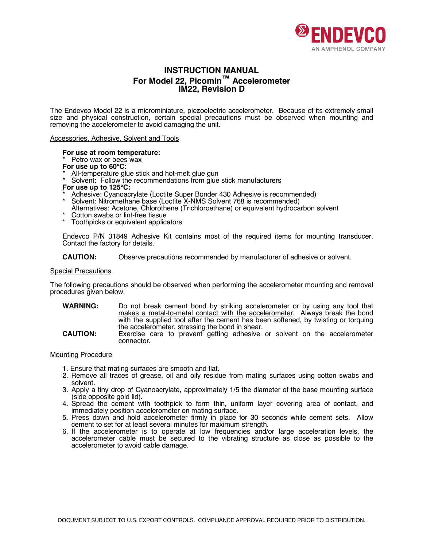

# **INSTRUCTION MANUAL For Model 22, Picomin™ Accelerometer IM22, Revision D**

The Endevco Model 22 is a microminiature, piezoelectric accelerometer. Because of its extremely small size and physical construction, certain special precautions must be observed when mounting and removing the accelerometer to avoid damaging the unit.

#### Accessories, Adhesive, Solvent and Tools

# **For use at room temperature:**

Petro wax or bees wax

- 
- **For use up to 60°C:**<br>\* All-temperature glue stick and hot-melt glue gun
- Solvent: Follow the recommendations from glue stick manufacturers

- **For use up to 125°C:**<br>\* Adhesive: Cyanoacrylate (Loctite Super Bonder 430 Adhesive is recommended)
- Solvent: Nitromethane base (Loctite X-NMS Solvent 768 is recommended)
- Alternatives: Acetone, Chlorothene (Trichloroethane) or equivalent hydrocarbon solvent Cotton swabs or lint-free tissue
- 
- \* Toothpicks or equivalent applicators

Endevco P/N 31849 Adhesive Kit contains most of the required items for mounting transducer. Contact the factory for details.

**CAUTION:** Observe precautions recommended by manufacturer of adhesive or solvent.

#### Special Precautions

The following precautions should be observed when performing the accelerometer mounting and removal procedures given below.

- **WARNING:** Do not break cement bond by striking accelerometer or by using any tool that makes a metal-to-metal contact with the accelerometer. Always break the bond with the supplied tool after the cement has been softened, by twisting or torquing the accelerometer, stressing the bond in shear. **CAUTION:** Exercise care to prevent getting adhesive or solvent on the accelerometer
- connector.

## Mounting Procedure

- 1. Ensure that mating surfaces are smooth and flat.
- 2. Remove all traces of grease, oil and oily residue from mating surfaces using cotton swabs and solvent.
- 3. Apply a tiny drop of Cyanoacrylate, approximately 1/5 the diameter of the base mounting surface (side opposite gold lid).
- 4. Spread the cement with toothpick to form thin, uniform layer covering area of contact, and immediately position accelerometer on mating surface.
- 5. Press down and hold accelerometer firmly in place for 30 seconds while cement sets. Allow cement to set for at least several minutes for maximum strength.
- 6. If the accelerometer is to operate at low frequencies and/or large acceleration levels, the accelerometer cable must be secured to the vibrating structure as close as possible to the accelerometer to avoid cable damage.